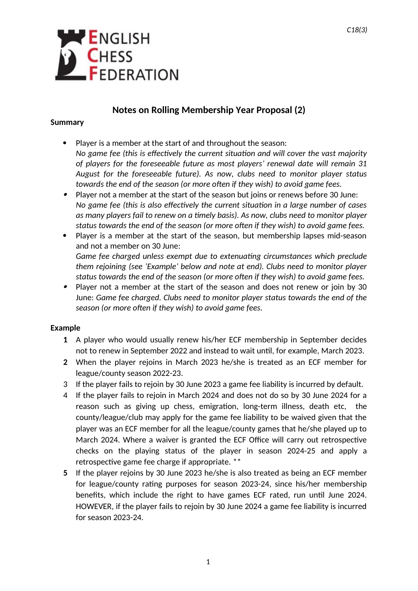

## **Notes on Rolling Membership Year Proposal (2)**

## **Summary**

- Player is a member at the start of and throughout the season: *No game fee (this is effectively the current situation and will cover the vast majority of players for the foreseeable future as most players' renewal date will remain 31 August for the foreseeable future). As now, clubs need to monitor player status towards the end of the season (or more often if they wish) to avoid game fees.*
- $\bullet$  Player not a member at the start of the season but joins or renews before 30 June: *No game fee (this is also effectively the current situation in a large number of cases as many players fail to renew on a timely basis). As now, clubs need to monitor player status towards the end of the season (or more often if they wish) to avoid game fees.*
- Player is a member at the start of the season, but membership lapses mid-season and not a member on 30 June: *Game fee charged unless exempt due to extenuating circumstances which preclude them rejoining (see 'Example' below and note at end). Clubs need to monitor player*
- *status towards the end of the season (or more often if they wish) to avoid game fees.*  Player not a member at the start of the season and does not renew or join by 30 June: *Game fee charged. Clubs need to monitor player status towards the end of the season (or more often if they wish) to avoid game fees.*

## **Example**

- **1** A player who would usually renew his/her ECF membership in September decides not to renew in September 2022 and instead to wait until, for example, March 2023.
- **2** When the player rejoins in March 2023 he/she is treated as an ECF member for league/county season 2022-23.
- 3 If the player fails to rejoin by 30 June 2023 a game fee liability is incurred by default.
- 4 If the player fails to rejoin in March 2024 and does not do so by 30 June 2024 for a reason such as giving up chess, emigration, long-term illness, death etc, the county/league/club may apply for the game fee liability to be waived given that the player was an ECF member for all the league/county games that he/she played up to March 2024. Where a waiver is granted the ECF Office will carry out retrospective checks on the playing status of the player in season 2024-25 and apply a retrospective game fee charge if appropriate. \*\*
- **5** If the player rejoins by 30 June 2023 he/she is also treated as being an ECF member for league/county rating purposes for season 2023-24, since his/her membership benefits, which include the right to have games ECF rated, run until June 2024. HOWEVER, if the player fails to rejoin by 30 June 2024 a game fee liability is incurred for season 2023-24.